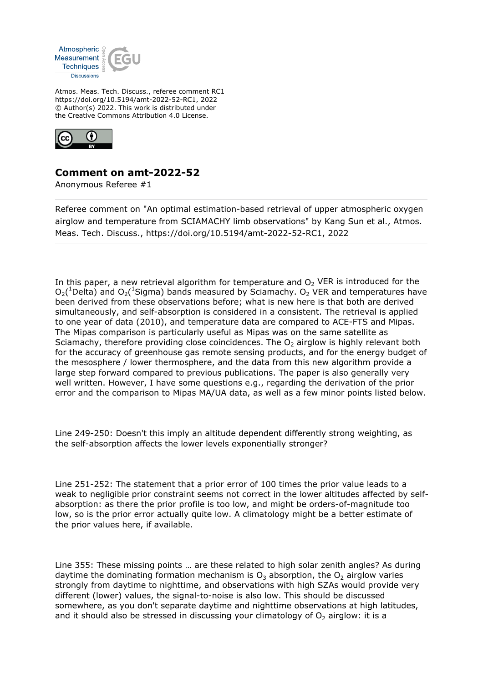

Atmos. Meas. Tech. Discuss., referee comment RC1 https://doi.org/10.5194/amt-2022-52-RC1, 2022 © Author(s) 2022. This work is distributed under the Creative Commons Attribution 4.0 License.



## **Comment on amt-2022-52**

Anonymous Referee #1

Referee comment on "An optimal estimation-based retrieval of upper atmospheric oxygen airglow and temperature from SCIAMACHY limb observations" by Kang Sun et al., Atmos. Meas. Tech. Discuss., https://doi.org/10.5194/amt-2022-52-RC1, 2022

In this paper, a new retrieval algorithm for temperature and  $O<sub>2</sub>$  VER is introduced for the  $O_2($ <sup>1</sup>Delta) and  $O_2($ <sup>1</sup>Sigma) bands measured by Sciamachy.  $O_2$  VER and temperatures have been derived from these observations before; what is new here is that both are derived simultaneously, and self-absorption is considered in a consistent. The retrieval is applied to one year of data (2010), and temperature data are compared to ACE-FTS and Mipas. The Mipas comparison is particularly useful as Mipas was on the same satellite as Sciamachy, therefore providing close coincidences. The  $O<sub>2</sub>$  airglow is highly relevant both for the accuracy of greenhouse gas remote sensing products, and for the energy budget of the mesosphere / lower thermosphere, and the data from this new algorithm provide a large step forward compared to previous publications. The paper is also generally very well written. However, I have some questions e.g., regarding the derivation of the prior error and the comparison to Mipas MA/UA data, as well as a few minor points listed below.

Line 249-250: Doesn't this imply an altitude dependent differently strong weighting, as the self-absorption affects the lower levels exponentially stronger?

Line 251-252: The statement that a prior error of 100 times the prior value leads to a weak to negligible prior constraint seems not correct in the lower altitudes affected by selfabsorption: as there the prior profile is too low, and might be orders-of-magnitude too low, so is the prior error actually quite low. A climatology might be a better estimate of the prior values here, if available.

Line 355: These missing points … are these related to high solar zenith angles? As during daytime the dominating formation mechanism is  $O_3$  absorption, the  $O_2$  airglow varies strongly from daytime to nighttime, and observations with high SZAs would provide very different (lower) values, the signal-to-noise is also low. This should be discussed somewhere, as you don't separate daytime and nighttime observations at high latitudes, and it should also be stressed in discussing your climatology of  $O<sub>2</sub>$  airglow: it is a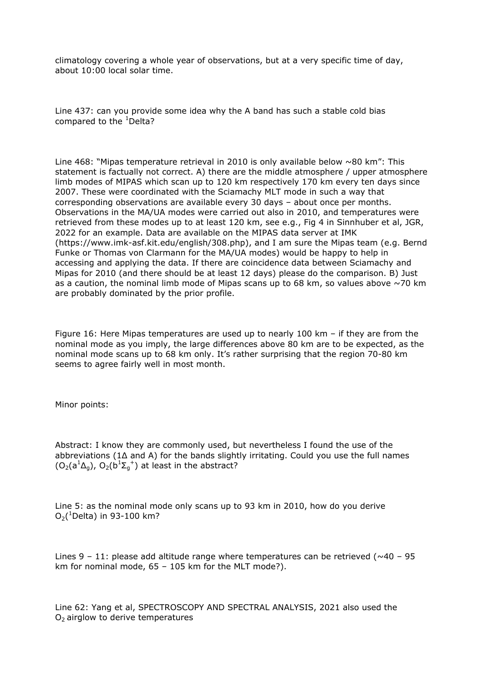climatology covering a whole year of observations, but at a very specific time of day, about 10:00 local solar time.

Line 437: can you provide some idea why the A band has such a stable cold bias compared to the  ${}^{1}$ Delta?

Line 468: "Mipas temperature retrieval in 2010 is only available below  $\sim 80$  km": This statement is factually not correct. A) there are the middle atmosphere / upper atmosphere limb modes of MIPAS which scan up to 120 km respectively 170 km every ten days since 2007. These were coordinated with the Sciamachy MLT mode in such a way that corresponding observations are available every 30 days – about once per months. Observations in the MA/UA modes were carried out also in 2010, and temperatures were retrieved from these modes up to at least 120 km, see e.g., Fig 4 in Sinnhuber et al, JGR, 2022 for an example. Data are available on the MIPAS data server at IMK (https://www.imk-asf.kit.edu/english/308.php), and I am sure the Mipas team (e.g. Bernd Funke or Thomas von Clarmann for the MA/UA modes) would be happy to help in accessing and applying the data. If there are coincidence data between Sciamachy and Mipas for 2010 (and there should be at least 12 days) please do the comparison. B) Just as a caution, the nominal limb mode of Mipas scans up to 68 km, so values above  $\sim$  70 km are probably dominated by the prior profile.

Figure 16: Here Mipas temperatures are used up to nearly 100 km – if they are from the nominal mode as you imply, the large differences above 80 km are to be expected, as the nominal mode scans up to 68 km only. It's rather surprising that the region 70-80 km seems to agree fairly well in most month.

Minor points:

Abstract: I know they are commonly used, but nevertheless I found the use of the abbreviations (1Δ and A) for the bands slightly irritating. Could you use the full names  $(O_2(a^1\Delta_g)$ ,  $O_2(b^1\Sigma_g^{-1})$  at least in the abstract?

Line 5: as the nominal mode only scans up to 93 km in 2010, how do you derive  $O_2($ <sup>1</sup>Delta) in 93-100 km?

Lines  $9 - 11$ : please add altitude range where temperatures can be retrieved ( $\sim$ 40 – 95 km for nominal mode, 65 – 105 km for the MLT mode?).

Line 62: Yang et al, SPECTROSCOPY AND SPECTRAL ANALYSIS, 2021 also used the  $O<sub>2</sub>$  airglow to derive temperatures